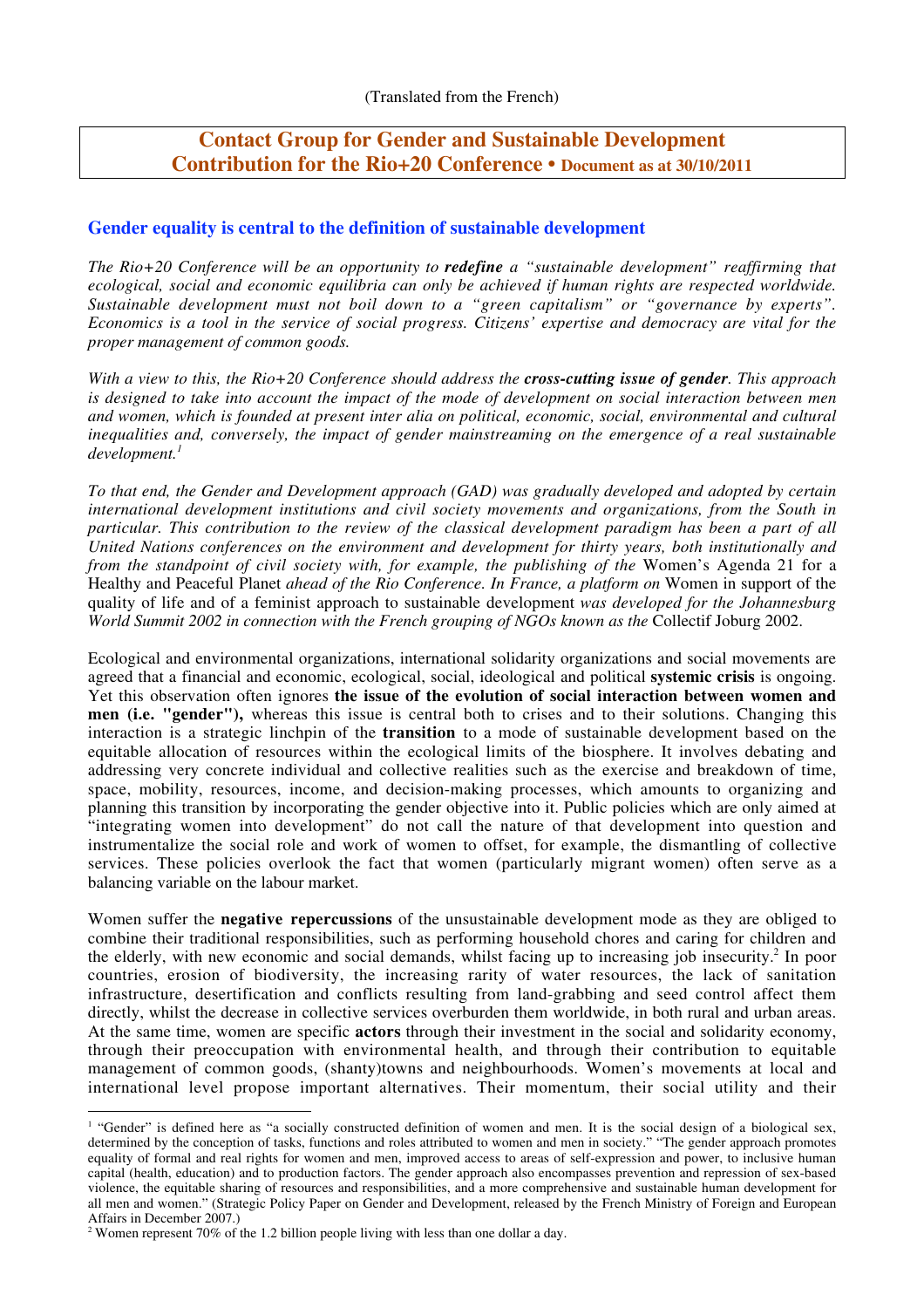# **Contact Group for Gender and Sustainable Development Contribution for the Rio+20 Conference • Document as at 30/10/2011**

# **Gender equality is central to the definition of sustainable development**

*The Rio+20 Conference will be an opportunity to redefine a "sustainable development" reaffirming that ecological, social and economic equilibria can only be achieved if human rights are respected worldwide. Sustainable development must not boil down to a "green capitalism" or "governance by experts". Economics is a tool in the service of social progress. Citizens' expertise and democracy are vital for the proper management of common goods.*

*With a view to this, the Rio+20 Conference should address the cross-cutting issue of gender. This approach is designed to take into account the impact of the mode of development on social interaction between men and women, which is founded at present inter alia on political, economic, social, environmental and cultural inequalities and, conversely, the impact of gender mainstreaming on the emergence of a real sustainable development.<sup>1</sup>*

*To that end, the Gender and Development approach (GAD) was gradually developed and adopted by certain international development institutions and civil society movements and organizations, from the South in particular. This contribution to the review of the classical development paradigm has been a part of all United Nations conferences on the environment and development for thirty years, both institutionally and from the standpoint of civil society with, for example, the publishing of the Women's Agenda 21 for a* Healthy and Peaceful Planet *ahead of the Rio Conference. In France, a platform on* Women in support of the quality of life and of a feminist approach to sustainable development *was developed for the Johannesburg World Summit 2002 in connection with the French grouping of NGOs known as the* Collectif Joburg 2002.

Ecological and environmental organizations, international solidarity organizations and social movements are agreed that a financial and economic, ecological, social, ideological and political **systemic crisis** is ongoing. Yet this observation often ignores **the issue of the evolution of social interaction between women and men (i.e. "gender"),** whereas this issue is central both to crises and to their solutions. Changing this interaction is a strategic linchpin of the **transition** to a mode of sustainable development based on the equitable allocation of resources within the ecological limits of the biosphere. It involves debating and addressing very concrete individual and collective realities such as the exercise and breakdown of time, space, mobility, resources, income, and decision-making processes, which amounts to organizing and planning this transition by incorporating the gender objective into it. Public policies which are only aimed at "integrating women into development" do not call the nature of that development into question and instrumentalize the social role and work of women to offset, for example, the dismantling of collective services. These policies overlook the fact that women (particularly migrant women) often serve as a balancing variable on the labour market.

Women suffer the **negative repercussions** of the unsustainable development mode as they are obliged to combine their traditional responsibilities, such as performing household chores and caring for children and the elderly, with new economic and social demands, whilst facing up to increasing job insecurity.2 In poor countries, erosion of biodiversity, the increasing rarity of water resources, the lack of sanitation infrastructure, desertification and conflicts resulting from land-grabbing and seed control affect them directly, whilst the decrease in collective services overburden them worldwide, in both rural and urban areas. At the same time, women are specific **actors** through their investment in the social and solidarity economy, through their preoccupation with environmental health, and through their contribution to equitable management of common goods, (shanty)towns and neighbourhoods. Women's movements at local and international level propose important alternatives. Their momentum, their social utility and their

<sup>&</sup>lt;sup>1</sup> "Gender" is defined here as "a socially constructed definition of women and men. It is the social design of a biological sex, determined by the conception of tasks, functions and roles attributed to women and men in society." "The gender approach promotes equality of formal and real rights for women and men, improved access to areas of self-expression and power, to inclusive human capital (health, education) and to production factors. The gender approach also encompasses prevention and repression of sex-based violence, the equitable sharing of resources and responsibilities, and a more comprehensive and sustainable human development for all men and women." (Strategic Policy Paper on Gender and Development, released by the French Ministry of Foreign and European Affairs in December 2007.)

<sup>&</sup>lt;sup>2</sup> Women represent 70% of the 1.2 billion people living with less than one dollar a day.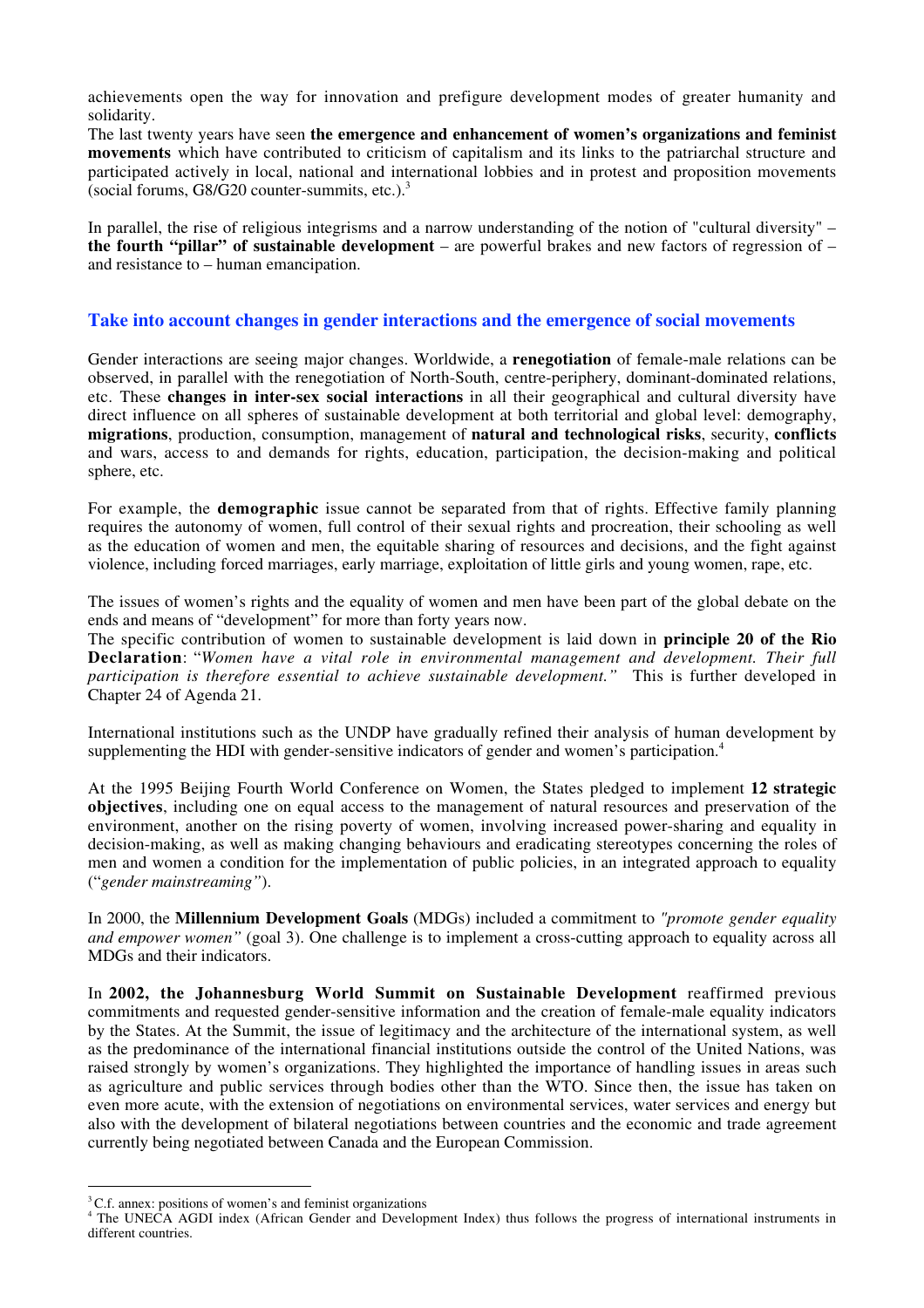achievements open the way for innovation and prefigure development modes of greater humanity and solidarity.

The last twenty years have seen **the emergence and enhancement of women's organizations and feminist movements** which have contributed to criticism of capitalism and its links to the patriarchal structure and participated actively in local, national and international lobbies and in protest and proposition movements (social forums,  $G8/G20$  counter-summits, etc.).<sup>3</sup>

In parallel, the rise of religious integrisms and a narrow understanding of the notion of "cultural diversity" – **the fourth "pillar" of sustainable development** – are powerful brakes and new factors of regression of – and resistance to – human emancipation.

### **Take into account changes in gender interactions and the emergence of social movements**

Gender interactions are seeing major changes. Worldwide, a **renegotiation** of female-male relations can be observed, in parallel with the renegotiation of North-South, centre-periphery, dominant-dominated relations, etc. These **changes in inter-sex social interactions** in all their geographical and cultural diversity have direct influence on all spheres of sustainable development at both territorial and global level: demography, **migrations**, production, consumption, management of **natural and technological risks**, security, **conflicts** and wars, access to and demands for rights, education, participation, the decision-making and political sphere, etc.

For example, the **demographic** issue cannot be separated from that of rights. Effective family planning requires the autonomy of women, full control of their sexual rights and procreation, their schooling as well as the education of women and men, the equitable sharing of resources and decisions, and the fight against violence, including forced marriages, early marriage, exploitation of little girls and young women, rape, etc.

The issues of women's rights and the equality of women and men have been part of the global debate on the ends and means of "development" for more than forty years now.

The specific contribution of women to sustainable development is laid down in **principle 20 of the Rio Declaration**: "*Women have a vital role in environmental management and development. Their full participation is therefore essential to achieve sustainable development."* This is further developed in Chapter 24 of Agenda 21.

International institutions such as the UNDP have gradually refined their analysis of human development by supplementing the HDI with gender-sensitive indicators of gender and women's participation.<sup>4</sup>

At the 1995 Beijing Fourth World Conference on Women, the States pledged to implement **12 strategic objectives**, including one on equal access to the management of natural resources and preservation of the environment, another on the rising poverty of women, involving increased power-sharing and equality in decision-making, as well as making changing behaviours and eradicating stereotypes concerning the roles of men and women a condition for the implementation of public policies, in an integrated approach to equality ("*gender mainstreaming"*).

In 2000, the **Millennium Development Goals** (MDGs) included a commitment to *"promote gender equality and empower women"* (goal 3). One challenge is to implement a cross-cutting approach to equality across all MDGs and their indicators.

In **2002, the Johannesburg World Summit on Sustainable Development** reaffirmed previous commitments and requested gender-sensitive information and the creation of female-male equality indicators by the States. At the Summit, the issue of legitimacy and the architecture of the international system, as well as the predominance of the international financial institutions outside the control of the United Nations, was raised strongly by women's organizations. They highlighted the importance of handling issues in areas such as agriculture and public services through bodies other than the WTO. Since then, the issue has taken on even more acute, with the extension of negotiations on environmental services, water services and energy but also with the development of bilateral negotiations between countries and the economic and trade agreement currently being negotiated between Canada and the European Commission.

<sup>&</sup>lt;sup>3</sup>C.f. annex: positions of women's and feminist organizations

<sup>&</sup>lt;sup>4</sup> The UNECA AGDI index (African Gender and Development Index) thus follows the progress of international instruments in different countries.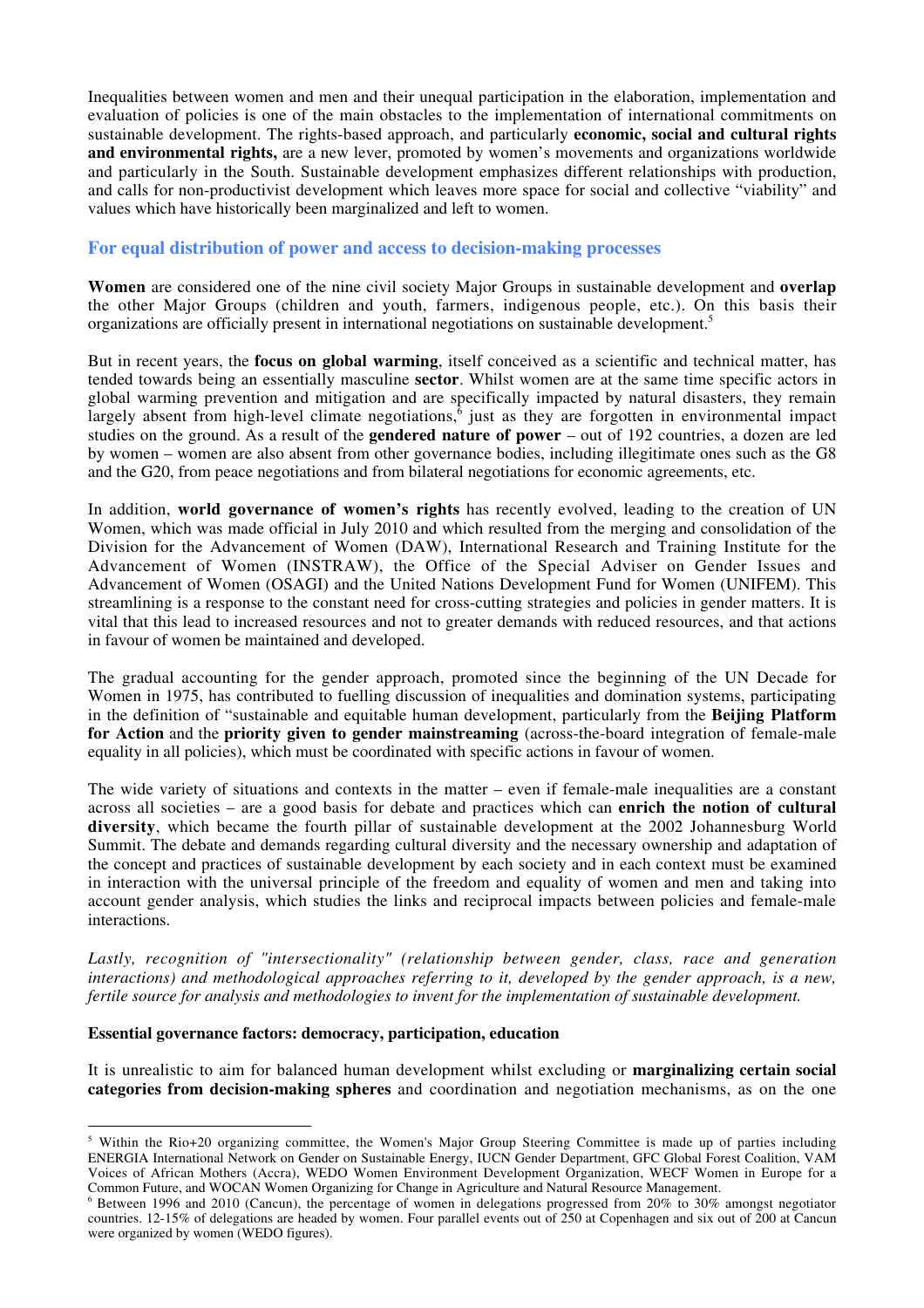Inequalities between women and men and their unequal participation in the elaboration, implementation and evaluation of policies is one of the main obstacles to the implementation of international commitments on sustainable development. The rights-based approach, and particularly **economic, social and cultural rights and environmental rights,** are a new lever, promoted by women's movements and organizations worldwide and particularly in the South. Sustainable development emphasizes different relationships with production, and calls for non-productivist development which leaves more space for social and collective "viability" and values which have historically been marginalized and left to women.

### **For equal distribution of power and access to decision-making processes**

**Women** are considered one of the nine civil society Major Groups in sustainable development and **overlap** the other Major Groups (children and youth, farmers, indigenous people, etc.). On this basis their organizations are officially present in international negotiations on sustainable development.5

But in recent years, the **focus on global warming**, itself conceived as a scientific and technical matter, has tended towards being an essentially masculine **sector**. Whilst women are at the same time specific actors in global warming prevention and mitigation and are specifically impacted by natural disasters, they remain largely absent from high-level climate negotiations, $\hat{6}$  just as they are forgotten in environmental impact studies on the ground. As a result of the **gendered nature of power** – out of 192 countries, a dozen are led by women – women are also absent from other governance bodies, including illegitimate ones such as the G8 and the G20, from peace negotiations and from bilateral negotiations for economic agreements, etc.

In addition, **world governance of women's rights** has recently evolved, leading to the creation of UN Women, which was made official in July 2010 and which resulted from the merging and consolidation of the Division for the Advancement of Women (DAW), International Research and Training Institute for the Advancement of Women (INSTRAW), the Office of the Special Adviser on Gender Issues and Advancement of Women (OSAGI) and the United Nations Development Fund for Women (UNIFEM). This streamlining is a response to the constant need for cross-cutting strategies and policies in gender matters. It is vital that this lead to increased resources and not to greater demands with reduced resources, and that actions in favour of women be maintained and developed.

The gradual accounting for the gender approach, promoted since the beginning of the UN Decade for Women in 1975, has contributed to fuelling discussion of inequalities and domination systems, participating in the definition of "sustainable and equitable human development, particularly from the **Beijing Platform for Action** and the **priority given to gender mainstreaming** (across-the-board integration of female-male equality in all policies), which must be coordinated with specific actions in favour of women.

The wide variety of situations and contexts in the matter – even if female-male inequalities are a constant across all societies – are a good basis for debate and practices which can **enrich the notion of cultural diversity**, which became the fourth pillar of sustainable development at the 2002 Johannesburg World Summit. The debate and demands regarding cultural diversity and the necessary ownership and adaptation of the concept and practices of sustainable development by each society and in each context must be examined in interaction with the universal principle of the freedom and equality of women and men and taking into account gender analysis, which studies the links and reciprocal impacts between policies and female-male interactions.

*Lastly, recognition of "intersectionality" (relationship between gender, class, race and generation interactions) and methodological approaches referring to it, developed by the gender approach, is a new, fertile source for analysis and methodologies to invent for the implementation of sustainable development.*

### **Essential governance factors: democracy, participation, education**

It is unrealistic to aim for balanced human development whilst excluding or **marginalizing certain social categories from decision-making spheres** and coordination and negotiation mechanisms, as on the one

<sup>&</sup>lt;sup>5</sup> Within the Rio+20 organizing committee, the Women's Major Group Steering Committee is made up of parties including ENERGIA International Network on Gender on Sustainable Energy, IUCN Gender Department, GFC Global Forest Coalition, VAM Voices of African Mothers (Accra), WEDO Women Environment Development Organization, WECF Women in Europe for a Common Future, and WOCAN Women Organizing for Change in Agriculture and Natural Resource Management.

<sup>6</sup> Between 1996 and 2010 (Cancun), the percentage of women in delegations progressed from 20% to 30% amongst negotiator countries. 12-15% of delegations are headed by women. Four parallel events out of 250 at Copenhagen and six out of 200 at Cancun were organized by women (WEDO figures).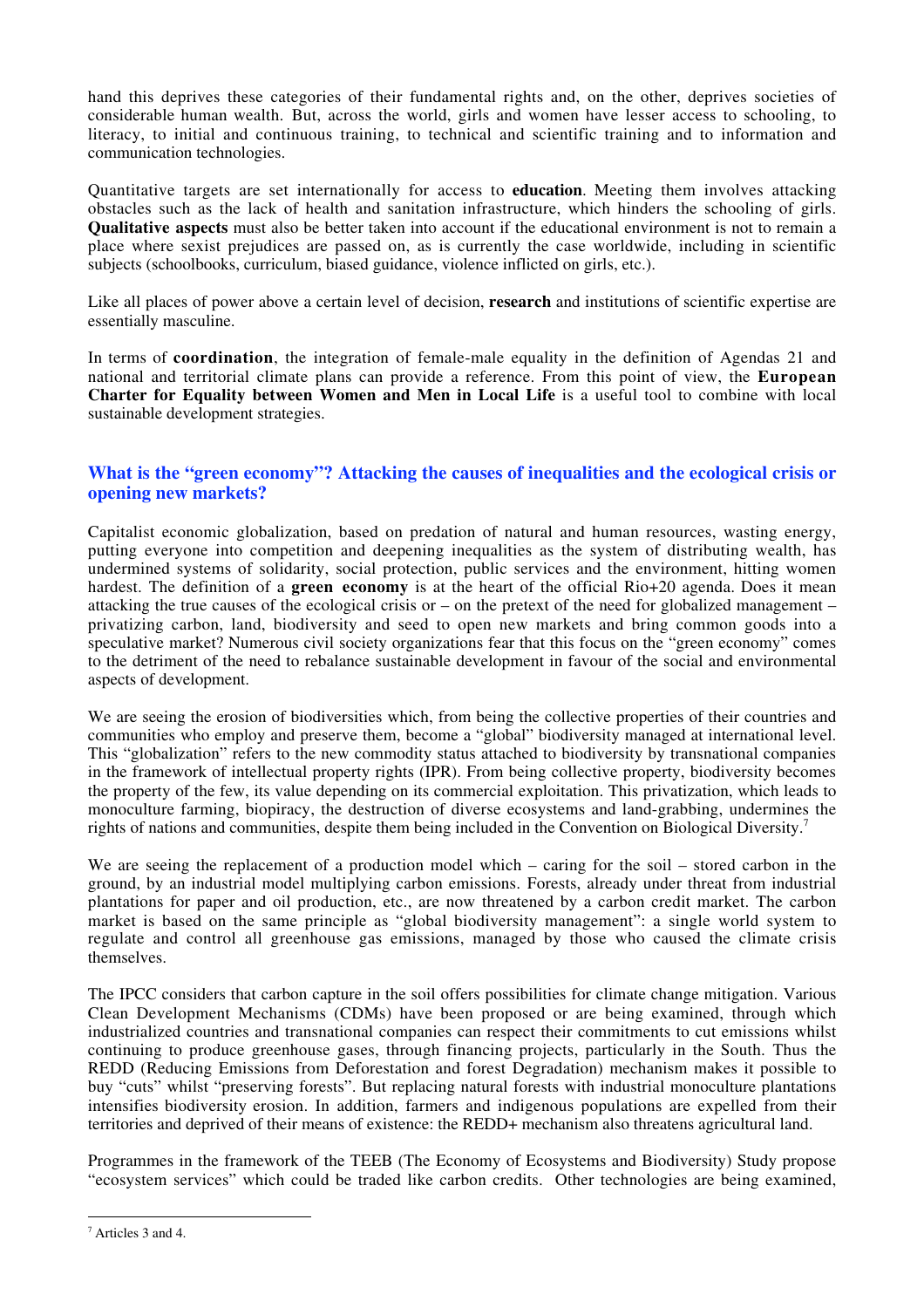hand this deprives these categories of their fundamental rights and, on the other, deprives societies of considerable human wealth. But, across the world, girls and women have lesser access to schooling, to literacy, to initial and continuous training, to technical and scientific training and to information and communication technologies.

Quantitative targets are set internationally for access to **education**. Meeting them involves attacking obstacles such as the lack of health and sanitation infrastructure, which hinders the schooling of girls. **Qualitative aspects** must also be better taken into account if the educational environment is not to remain a place where sexist prejudices are passed on, as is currently the case worldwide, including in scientific subjects (schoolbooks, curriculum, biased guidance, violence inflicted on girls, etc.).

Like all places of power above a certain level of decision, **research** and institutions of scientific expertise are essentially masculine.

In terms of **coordination**, the integration of female-male equality in the definition of Agendas 21 and national and territorial climate plans can provide a reference. From this point of view, the **European Charter for Equality between Women and Men in Local Life** is a useful tool to combine with local sustainable development strategies.

# **What is the "green economy"? Attacking the causes of inequalities and the ecological crisis or opening new markets?**

Capitalist economic globalization, based on predation of natural and human resources, wasting energy, putting everyone into competition and deepening inequalities as the system of distributing wealth, has undermined systems of solidarity, social protection, public services and the environment, hitting women hardest. The definition of a **green economy** is at the heart of the official Rio+20 agenda. Does it mean attacking the true causes of the ecological crisis or – on the pretext of the need for globalized management – privatizing carbon, land, biodiversity and seed to open new markets and bring common goods into a speculative market? Numerous civil society organizations fear that this focus on the "green economy" comes to the detriment of the need to rebalance sustainable development in favour of the social and environmental aspects of development.

We are seeing the erosion of biodiversities which, from being the collective properties of their countries and communities who employ and preserve them, become a "global" biodiversity managed at international level. This "globalization" refers to the new commodity status attached to biodiversity by transnational companies in the framework of intellectual property rights (IPR). From being collective property, biodiversity becomes the property of the few, its value depending on its commercial exploitation. This privatization, which leads to monoculture farming, biopiracy, the destruction of diverse ecosystems and land-grabbing, undermines the rights of nations and communities, despite them being included in the Convention on Biological Diversity.<sup>7</sup>

We are seeing the replacement of a production model which – caring for the soil – stored carbon in the ground, by an industrial model multiplying carbon emissions. Forests, already under threat from industrial plantations for paper and oil production, etc., are now threatened by a carbon credit market. The carbon market is based on the same principle as "global biodiversity management": a single world system to regulate and control all greenhouse gas emissions, managed by those who caused the climate crisis themselves.

The IPCC considers that carbon capture in the soil offers possibilities for climate change mitigation. Various Clean Development Mechanisms (CDMs) have been proposed or are being examined, through which industrialized countries and transnational companies can respect their commitments to cut emissions whilst continuing to produce greenhouse gases, through financing projects, particularly in the South. Thus the REDD (Reducing Emissions from Deforestation and forest Degradation) mechanism makes it possible to buy "cuts" whilst "preserving forests". But replacing natural forests with industrial monoculture plantations intensifies biodiversity erosion. In addition, farmers and indigenous populations are expelled from their territories and deprived of their means of existence: the REDD+ mechanism also threatens agricultural land.

Programmes in the framework of the TEEB (The Economy of Ecosystems and Biodiversity) Study propose "ecosystem services" which could be traded like carbon credits. Other technologies are being examined,

<sup>-&</sup>lt;br>7 Articles 3 and 4.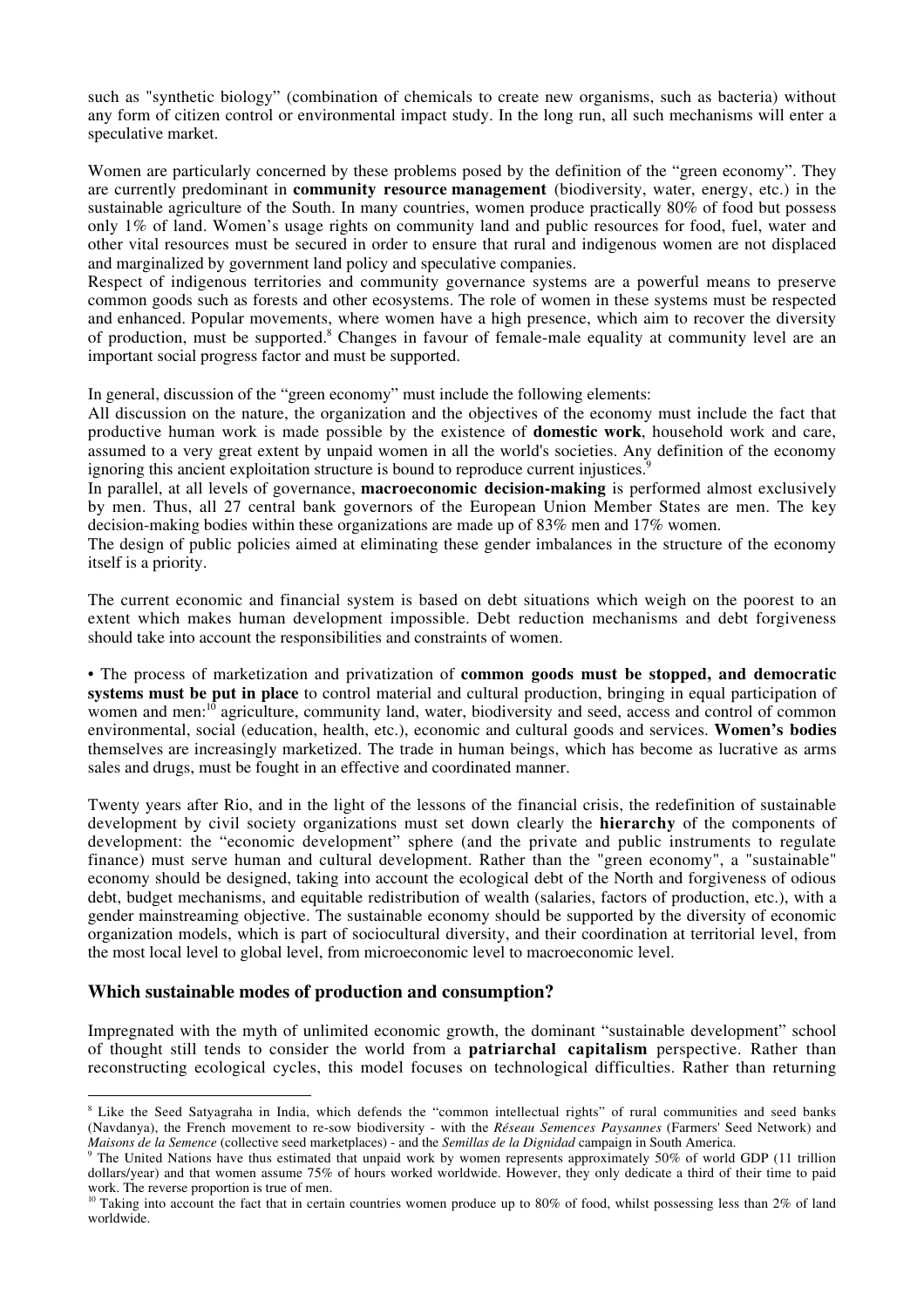such as "synthetic biology" (combination of chemicals to create new organisms, such as bacteria) without any form of citizen control or environmental impact study. In the long run, all such mechanisms will enter a speculative market.

Women are particularly concerned by these problems posed by the definition of the "green economy". They are currently predominant in **community resource management** (biodiversity, water, energy, etc.) in the sustainable agriculture of the South. In many countries, women produce practically 80% of food but possess only 1% of land. Women's usage rights on community land and public resources for food, fuel, water and other vital resources must be secured in order to ensure that rural and indigenous women are not displaced and marginalized by government land policy and speculative companies.

Respect of indigenous territories and community governance systems are a powerful means to preserve common goods such as forests and other ecosystems. The role of women in these systems must be respected and enhanced. Popular movements, where women have a high presence, which aim to recover the diversity of production, must be supported.<sup>8</sup> Changes in favour of female-male equality at community level are an important social progress factor and must be supported.

In general, discussion of the "green economy" must include the following elements:

All discussion on the nature, the organization and the objectives of the economy must include the fact that productive human work is made possible by the existence of **domestic work**, household work and care, assumed to a very great extent by unpaid women in all the world's societies. Any definition of the economy ignoring this ancient exploitation structure is bound to reproduce current injustices.<sup>9</sup>

In parallel, at all levels of governance, **macroeconomic decision-making** is performed almost exclusively by men. Thus, all 27 central bank governors of the European Union Member States are men. The key decision-making bodies within these organizations are made up of 83% men and 17% women.

The design of public policies aimed at eliminating these gender imbalances in the structure of the economy itself is a priority.

The current economic and financial system is based on debt situations which weigh on the poorest to an extent which makes human development impossible. Debt reduction mechanisms and debt forgiveness should take into account the responsibilities and constraints of women.

• The process of marketization and privatization of **common goods must be stopped, and democratic systems must be put in place** to control material and cultural production, bringing in equal participation of women and men:<sup>10</sup> agriculture, community land, water, biodiversity and seed, access and control of common environmental, social (education, health, etc.), economic and cultural goods and services. **Women's bodies** themselves are increasingly marketized. The trade in human beings, which has become as lucrative as arms sales and drugs, must be fought in an effective and coordinated manner.

Twenty years after Rio, and in the light of the lessons of the financial crisis, the redefinition of sustainable development by civil society organizations must set down clearly the **hierarchy** of the components of development: the "economic development" sphere (and the private and public instruments to regulate finance) must serve human and cultural development. Rather than the "green economy", a "sustainable" economy should be designed, taking into account the ecological debt of the North and forgiveness of odious debt, budget mechanisms, and equitable redistribution of wealth (salaries, factors of production, etc.), with a gender mainstreaming objective. The sustainable economy should be supported by the diversity of economic organization models, which is part of sociocultural diversity, and their coordination at territorial level, from the most local level to global level, from microeconomic level to macroeconomic level.

# **Which sustainable modes of production and consumption?**

Impregnated with the myth of unlimited economic growth, the dominant "sustainable development" school of thought still tends to consider the world from a **patriarchal capitalism** perspective. Rather than reconstructing ecological cycles, this model focuses on technological difficulties. Rather than returning

<sup>&</sup>lt;sup>8</sup> Like the Seed Satyagraha in India, which defends the "common intellectual rights" of rural communities and seed banks (Navdanya), the French movement to re-sow biodiversity - with the *Réseau Semences Paysannes* (Farmers' Seed Network) and *Maisons de la Semence* (collective seed marketplaces) - and the *Semillas de la Dignidad* campaign in South America.

<sup>&</sup>lt;sup>9</sup> The United Nations have thus estimated that unpaid work by women represents approximately 50% of world GDP (11 trillion dollars/year) and that women assume 75% of hours worked worldwide. However, they only dedicate a third of their time to paid work. The reverse proportion is true of men.

<sup>&</sup>lt;sup>10</sup> Taking into account the fact that in certain countries women produce up to 80% of food, whilst possessing less than 2% of land worldwide.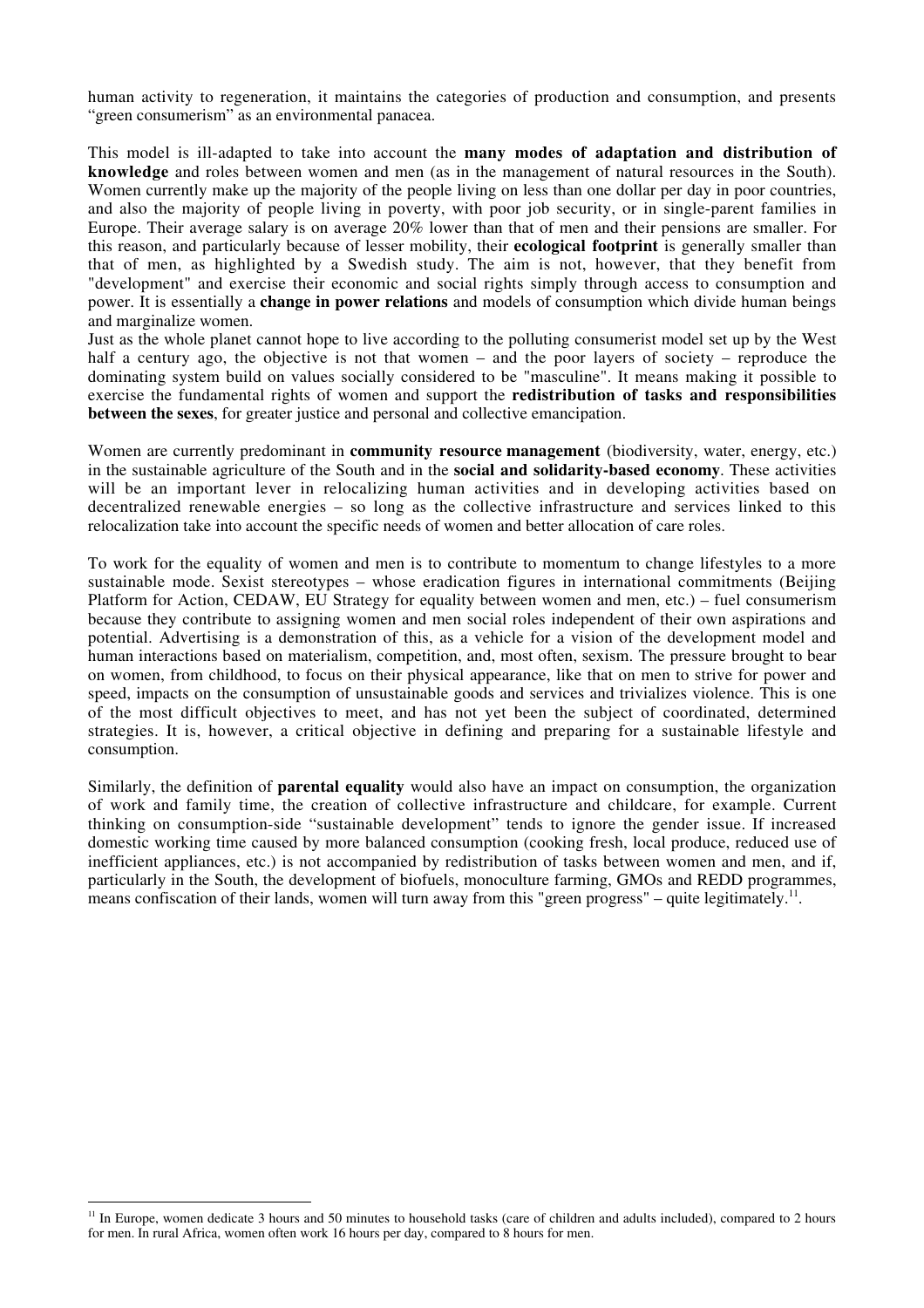human activity to regeneration, it maintains the categories of production and consumption, and presents "green consumerism" as an environmental panacea.

This model is ill-adapted to take into account the **many modes of adaptation and distribution of knowledge** and roles between women and men (as in the management of natural resources in the South). Women currently make up the majority of the people living on less than one dollar per day in poor countries, and also the majority of people living in poverty, with poor job security, or in single-parent families in Europe. Their average salary is on average 20% lower than that of men and their pensions are smaller. For this reason, and particularly because of lesser mobility, their **ecological footprint** is generally smaller than that of men, as highlighted by a Swedish study. The aim is not, however, that they benefit from "development" and exercise their economic and social rights simply through access to consumption and power. It is essentially a **change in power relations** and models of consumption which divide human beings and marginalize women.

Just as the whole planet cannot hope to live according to the polluting consumerist model set up by the West half a century ago, the objective is not that women – and the poor layers of society – reproduce the dominating system build on values socially considered to be "masculine". It means making it possible to exercise the fundamental rights of women and support the **redistribution of tasks and responsibilities between the sexes**, for greater justice and personal and collective emancipation.

Women are currently predominant in **community resource management** (biodiversity, water, energy, etc.) in the sustainable agriculture of the South and in the **social and solidarity-based economy**. These activities will be an important lever in relocalizing human activities and in developing activities based on decentralized renewable energies – so long as the collective infrastructure and services linked to this relocalization take into account the specific needs of women and better allocation of care roles.

To work for the equality of women and men is to contribute to momentum to change lifestyles to a more sustainable mode. Sexist stereotypes – whose eradication figures in international commitments (Beijing Platform for Action, CEDAW, EU Strategy for equality between women and men, etc.) – fuel consumerism because they contribute to assigning women and men social roles independent of their own aspirations and potential. Advertising is a demonstration of this, as a vehicle for a vision of the development model and human interactions based on materialism, competition, and, most often, sexism. The pressure brought to bear on women, from childhood, to focus on their physical appearance, like that on men to strive for power and speed, impacts on the consumption of unsustainable goods and services and trivializes violence. This is one of the most difficult objectives to meet, and has not yet been the subject of coordinated, determined strategies. It is, however, a critical objective in defining and preparing for a sustainable lifestyle and consumption.

Similarly, the definition of **parental equality** would also have an impact on consumption, the organization of work and family time, the creation of collective infrastructure and childcare, for example. Current thinking on consumption-side "sustainable development" tends to ignore the gender issue. If increased domestic working time caused by more balanced consumption (cooking fresh, local produce, reduced use of inefficient appliances, etc.) is not accompanied by redistribution of tasks between women and men, and if, particularly in the South, the development of biofuels, monoculture farming, GMOs and REDD programmes, means confiscation of their lands, women will turn away from this "green progress" – quite legitimately.<sup>11</sup>.

<sup>&</sup>lt;sup>11</sup> In Europe, women dedicate 3 hours and 50 minutes to household tasks (care of children and adults included), compared to 2 hours for men. In rural Africa, women often work 16 hours per day, compared to 8 hours for men.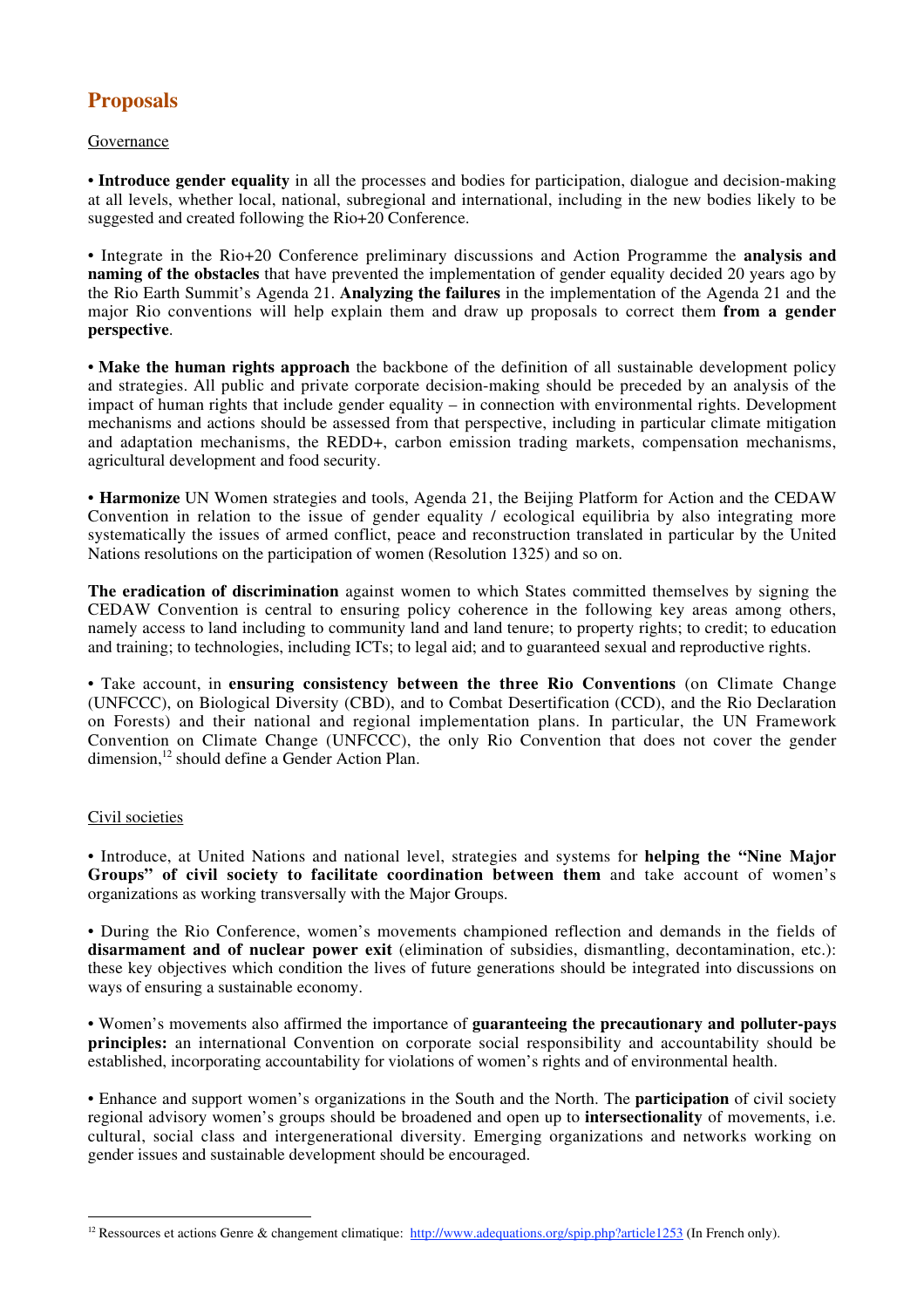# **Proposals**

### Governance

• **Introduce gender equality** in all the processes and bodies for participation, dialogue and decision-making at all levels, whether local, national, subregional and international, including in the new bodies likely to be suggested and created following the Rio+20 Conference.

• Integrate in the Rio+20 Conference preliminary discussions and Action Programme the **analysis and naming of the obstacles** that have prevented the implementation of gender equality decided 20 years ago by the Rio Earth Summit's Agenda 21. **Analyzing the failures** in the implementation of the Agenda 21 and the major Rio conventions will help explain them and draw up proposals to correct them **from a gender perspective**.

• **Make the human rights approach** the backbone of the definition of all sustainable development policy and strategies. All public and private corporate decision-making should be preceded by an analysis of the impact of human rights that include gender equality – in connection with environmental rights. Development mechanisms and actions should be assessed from that perspective, including in particular climate mitigation and adaptation mechanisms, the REDD+, carbon emission trading markets, compensation mechanisms, agricultural development and food security.

• **Harmonize** UN Women strategies and tools, Agenda 21, the Beijing Platform for Action and the CEDAW Convention in relation to the issue of gender equality / ecological equilibria by also integrating more systematically the issues of armed conflict, peace and reconstruction translated in particular by the United Nations resolutions on the participation of women (Resolution 1325) and so on.

**The eradication of discrimination** against women to which States committed themselves by signing the CEDAW Convention is central to ensuring policy coherence in the following key areas among others, namely access to land including to community land and land tenure; to property rights; to credit; to education and training; to technologies, including ICTs; to legal aid; and to guaranteed sexual and reproductive rights.

• Take account, in **ensuring consistency between the three Rio Conventions** (on Climate Change (UNFCCC), on Biological Diversity (CBD), and to Combat Desertification (CCD), and the Rio Declaration on Forests) and their national and regional implementation plans. In particular, the UN Framework Convention on Climate Change (UNFCCC), the only Rio Convention that does not cover the gender dimension,<sup>12</sup> should define a Gender Action Plan.

### Civil societies

• Introduce, at United Nations and national level, strategies and systems for **helping the "Nine Major Groups" of civil society to facilitate coordination between them** and take account of women's organizations as working transversally with the Major Groups.

• During the Rio Conference, women's movements championed reflection and demands in the fields of **disarmament and of nuclear power exit** (elimination of subsidies, dismantling, decontamination, etc.): these key objectives which condition the lives of future generations should be integrated into discussions on ways of ensuring a sustainable economy.

• Women's movements also affirmed the importance of **guaranteeing the precautionary and polluter-pays principles:** an international Convention on corporate social responsibility and accountability should be established, incorporating accountability for violations of women's rights and of environmental health.

• Enhance and support women's organizations in the South and the North. The **participation** of civil society regional advisory women's groups should be broadened and open up to **intersectionality** of movements, i.e. cultural, social class and intergenerational diversity. Emerging organizations and networks working on gender issues and sustainable development should be encouraged.

<sup>&</sup>lt;sup>12</sup> Ressources et actions Genre & changement climatique: http://www.adequations.org/spip.php?article1253 (In French only).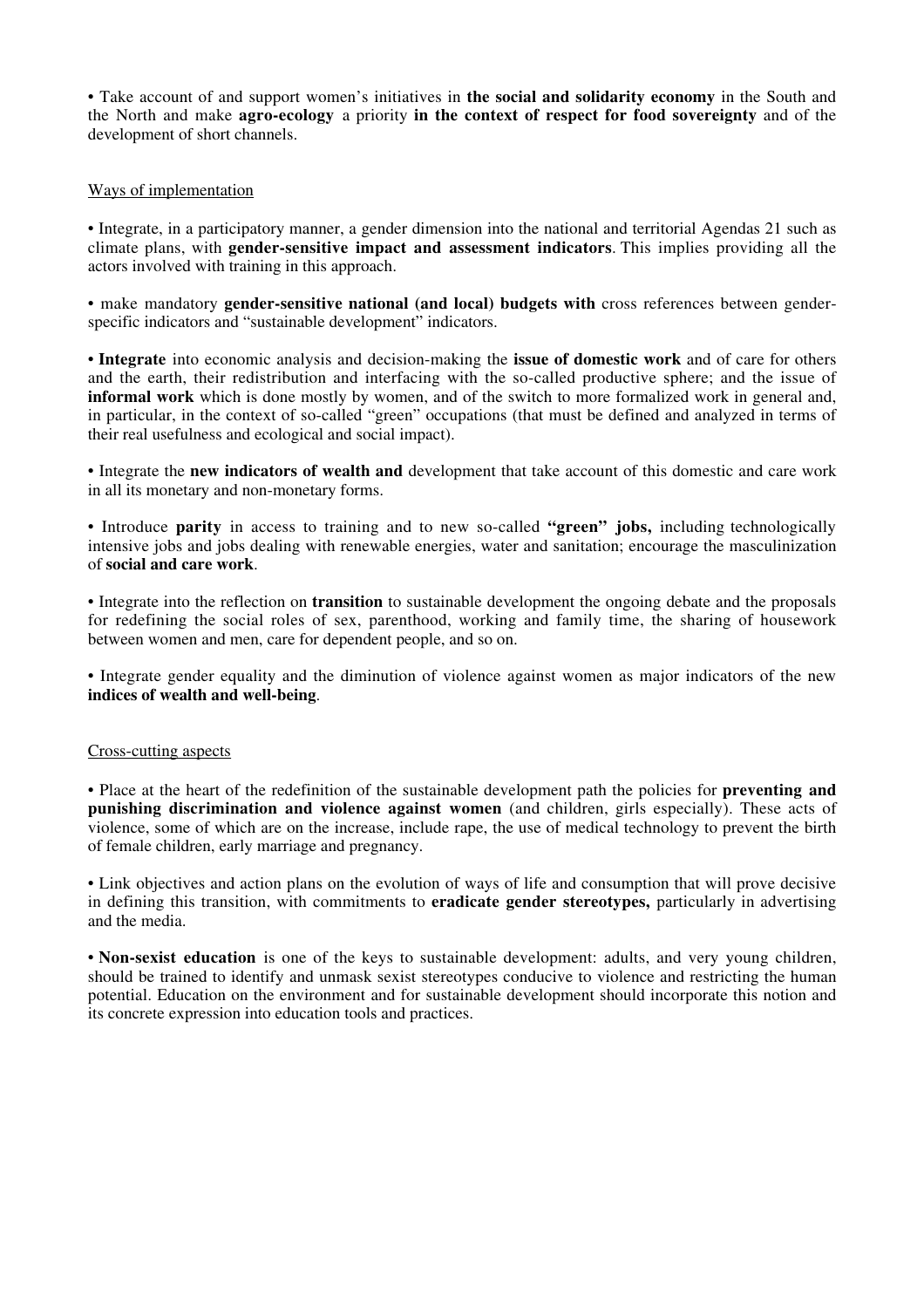• Take account of and support women's initiatives in **the social and solidarity economy** in the South and the North and make **agro-ecology** a priority **in the context of respect for food sovereignty** and of the development of short channels.

#### Ways of implementation

• Integrate, in a participatory manner, a gender dimension into the national and territorial Agendas 21 such as climate plans, with **gender-sensitive impact and assessment indicators**. This implies providing all the actors involved with training in this approach.

• make mandatory **gender-sensitive national (and local) budgets with** cross references between genderspecific indicators and "sustainable development" indicators.

• **Integrate** into economic analysis and decision-making the **issue of domestic work** and of care for others and the earth, their redistribution and interfacing with the so-called productive sphere; and the issue of **informal work** which is done mostly by women, and of the switch to more formalized work in general and, in particular, in the context of so-called "green" occupations (that must be defined and analyzed in terms of their real usefulness and ecological and social impact).

• Integrate the **new indicators of wealth and** development that take account of this domestic and care work in all its monetary and non-monetary forms.

• Introduce **parity** in access to training and to new so-called **"green" jobs,** including technologically intensive jobs and jobs dealing with renewable energies, water and sanitation; encourage the masculinization of **social and care work**.

• Integrate into the reflection on **transition** to sustainable development the ongoing debate and the proposals for redefining the social roles of sex, parenthood, working and family time, the sharing of housework between women and men, care for dependent people, and so on.

• Integrate gender equality and the diminution of violence against women as major indicators of the new **indices of wealth and well-being**.

#### Cross-cutting aspects

• Place at the heart of the redefinition of the sustainable development path the policies for **preventing and punishing discrimination and violence against women** (and children, girls especially). These acts of violence, some of which are on the increase, include rape, the use of medical technology to prevent the birth of female children, early marriage and pregnancy.

• Link objectives and action plans on the evolution of ways of life and consumption that will prove decisive in defining this transition, with commitments to **eradicate gender stereotypes,** particularly in advertising and the media.

• **Non-sexist education** is one of the keys to sustainable development: adults, and very young children, should be trained to identify and unmask sexist stereotypes conducive to violence and restricting the human potential. Education on the environment and for sustainable development should incorporate this notion and its concrete expression into education tools and practices.